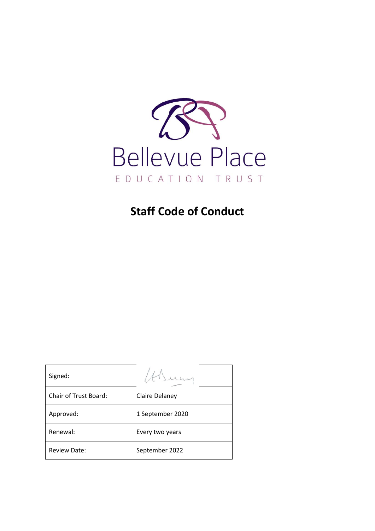

# **Staff Code of Conduct**

| Signed:               |                  |
|-----------------------|------------------|
| Chair of Trust Board: | Claire Delaney   |
| Approved:             | 1 September 2020 |
| Renewal:              | Every two years  |
| <b>Review Date:</b>   | September 2022   |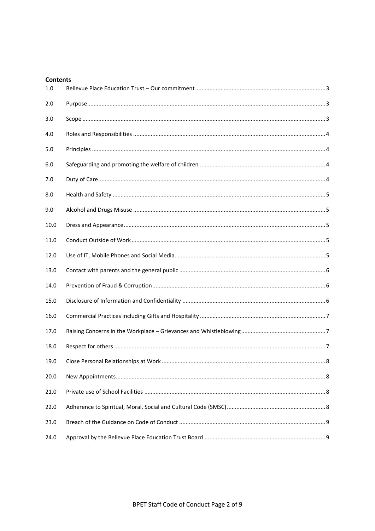| <b>Contents</b> |  |  |
|-----------------|--|--|
| 1.0             |  |  |
| 2.0             |  |  |
| 3.0             |  |  |
| 4.0             |  |  |
| 5.0             |  |  |
| 6.0             |  |  |
| 7.0             |  |  |
| 8.0             |  |  |
| 9.0             |  |  |
| 10.0            |  |  |
| 11.0            |  |  |
| 12.0            |  |  |
| 13.0            |  |  |
| 14.0            |  |  |
| 15.0            |  |  |
| 16.0            |  |  |
| 17.0            |  |  |
| 18.0            |  |  |
| 19.0            |  |  |
| 20.0            |  |  |
| 21.0            |  |  |
| 22.0            |  |  |
| 23.0            |  |  |
| 24.0            |  |  |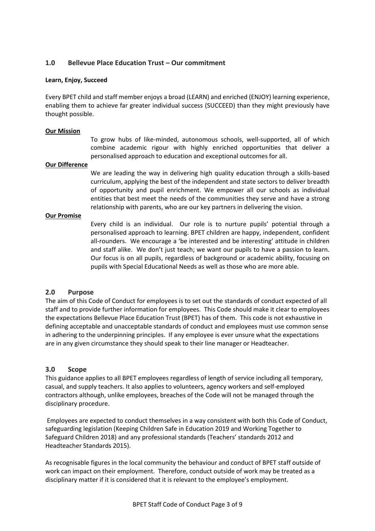## <span id="page-2-0"></span>**1.0 Bellevue Place Education Trust – Our commitment**

#### **Learn, Enjoy, Succeed**

Every BPET child and staff member enjoys a broad (LEARN) and enriched (ENJOY) learning experience, enabling them to achieve far greater individual success (SUCCEED) than they might previously have thought possible.

#### **Our Mission**

To grow hubs of like-minded, autonomous schools, well-supported, all of which combine academic rigour with highly enriched opportunities that deliver a personalised approach to education and exceptional outcomes for all.

#### **Our Difference**

We are leading the way in delivering high quality education through a skills-based curriculum, applying the best of the independent and state sectors to deliver breadth of opportunity and pupil enrichment. We empower all our schools as individual entities that best meet the needs of the communities they serve and have a strong relationship with parents, who are our key partners in delivering the vision.

#### **Our Promise**

Every child is an individual. Our role is to nurture pupils' potential through a personalised approach to learning. BPET children are happy, independent, confident all-rounders. We encourage a 'be interested and be interesting' attitude in children and staff alike. We don't just teach; we want our pupils to have a passion to learn. Our focus is on all pupils, regardless of background or academic ability, focusing on pupils with Special Educational Needs as well as those who are more able.

#### <span id="page-2-1"></span>**2.0 Purpose**

The aim of this Code of Conduct for employees is to set out the standards of conduct expected of all staff and to provide further information for employees. This Code should make it clear to employees the expectations Bellevue Place Education Trust (BPET) has of them. This code is not exhaustive in defining acceptable and unacceptable standards of conduct and employees must use common sense in adhering to the underpinning principles. If any employee is ever unsure what the expectations are in any given circumstance they should speak to their line manager or Headteacher.

#### <span id="page-2-2"></span>**3.0 Scope**

This guidance applies to all BPET employees regardless of length of service including all temporary, casual, and supply teachers. It also applies to volunteers, agency workers and self-employed contractors although, unlike employees, breaches of the Code will not be managed through the disciplinary procedure.

Employees are expected to conduct themselves in a way consistent with both this Code of Conduct, safeguarding legislation (Keeping Children Safe in Education 2019 and Working Together to Safeguard Children 2018) and any professional standards (Teachers' standards 2012 and Headteacher Standards 2015).

As recognisable figures in the local community the behaviour and conduct of BPET staff outside of work can impact on their employment. Therefore, conduct outside of work may be treated as a disciplinary matter if it is considered that it is relevant to the employee's employment.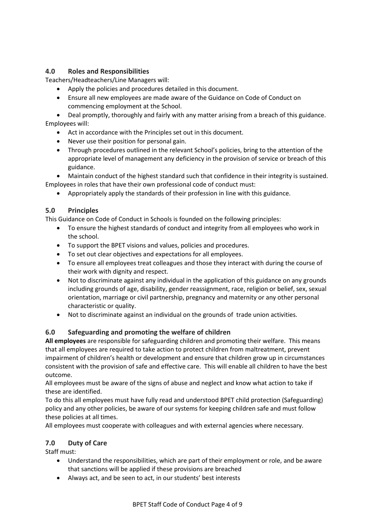## <span id="page-3-0"></span>**4.0 Roles and Responsibilities**

Teachers/Headteachers/Line Managers will:

- Apply the policies and procedures detailed in this document.
- Ensure all new employees are made aware of the Guidance on Code of Conduct on commencing employment at the School.

 Deal promptly, thoroughly and fairly with any matter arising from a breach of this guidance. Employees will:

- Act in accordance with the Principles set out in this document.
- Never use their position for personal gain.
- Through procedures outlined in the relevant School's policies, bring to the attention of the appropriate level of management any deficiency in the provision of service or breach of this guidance.

 Maintain conduct of the highest standard such that confidence in their integrity is sustained. Employees in roles that have their own professional code of conduct must:

Appropriately apply the standards of their profession in line with this guidance.

## <span id="page-3-1"></span>**5.0 Principles**

This Guidance on Code of Conduct in Schools is founded on the following principles:

- To ensure the highest standards of conduct and integrity from all employees who work in the school.
- To support the BPET visions and values, policies and procedures.
- To set out clear objectives and expectations for all employees.
- To ensure all employees treat colleagues and those they interact with during the course of their work with dignity and respect.
- Not to discriminate against any individual in the application of this guidance on any grounds including grounds of age, disability, gender reassignment, race, religion or belief, sex, sexual orientation, marriage or civil partnership, pregnancy and maternity or any other personal characteristic or quality.
- Not to discriminate against an individual on the grounds of trade union activities.

# <span id="page-3-2"></span>**6.0 Safeguarding and promoting the welfare of children**

**All employees** are responsible for safeguarding children and promoting their welfare. This means that all employees are required to take action to protect children from maltreatment, prevent impairment of children's health or development and ensure that children grow up in circumstances consistent with the provision of safe and effective care. This will enable all children to have the best outcome.

All employees must be aware of the signs of abuse and neglect and know what action to take if these are identified.

To do this all employees must have fully read and understood BPET child protection (Safeguarding) policy and any other policies, be aware of our systems for keeping children safe and must follow these policies at all times.

All employees must cooperate with colleagues and with external agencies where necessary.

## <span id="page-3-3"></span>**7.0 Duty of Care**

Staff must:

- Understand the responsibilities, which are part of their employment or role, and be aware that sanctions will be applied if these provisions are breached
- Always act, and be seen to act, in our students' best interests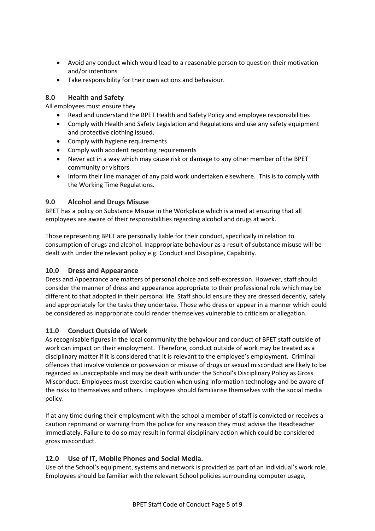- Avoid any conduct which would lead to a reasonable person to question their motivation and/or intentions
- Take responsibility for their own actions and behaviour.

## <span id="page-4-0"></span>**8.0 Health and Safety**

All employees must ensure they

- Read and understand the BPET Health and Safety Policy and employee responsibilities
- Comply with Health and Safety Legislation and Regulations and use any safety equipment and protective clothing issued.
- Comply with hygiene requirements
- Comply with accident reporting requirements
- Never act in a way which may cause risk or damage to any other member of the BPET community or visitors
- Inform their line manager of any paid work undertaken elsewhere. This is to comply with the Working Time Regulations.

## <span id="page-4-1"></span>**9.0 Alcohol and Drugs Misuse**

BPET has a policy on Substance Misuse in the Workplace which is aimed at ensuring that all employees are aware of their responsibilities regarding alcohol and drugs at work.

Those representing BPET are personally liable for their conduct, specifically in relation to consumption of drugs and alcohol. Inappropriate behaviour as a result of substance misuse will be dealt with under the relevant policy e.g. Conduct and Discipline, Capability.

## <span id="page-4-2"></span>**10.0 Dress and Appearance**

Dress and Appearance are matters of personal choice and self-expression. However, staff should consider the manner of dress and appearance appropriate to their professional role which may be different to that adopted in their personal life. Staff should ensure they are dressed decently, safely and appropriately for the tasks they undertake. Those who dress or appear in a manner which could be considered as inappropriate could render themselves vulnerable to criticism or allegation.

## <span id="page-4-3"></span>**11.0 Conduct Outside of Work**

As recognisable figures in the local community the behaviour and conduct of BPET staff outside of work can impact on their employment. Therefore, conduct outside of work may be treated as a disciplinary matter if it is considered that it is relevant to the employee's employment. Criminal offences that involve violence or possession or misuse of drugs or sexual misconduct are likely to be regarded as unacceptable and may be dealt with under the School's Disciplinary Policy as Gross Misconduct. Employees must exercise caution when using information technology and be aware of the risks to themselves and others. Employees should familiarise themselves with the social media policy.

If at any time during their employment with the school a member of staff is convicted or receives a caution reprimand or warning from the police for any reason they must advise the Headteacher immediately. Failure to do so may result in formal disciplinary action which could be considered gross misconduct.

# <span id="page-4-4"></span>**12.0 Use of IT, Mobile Phones and Social Media.**

Use of the School's equipment, systems and network is provided as part of an individual's work role. Employees should be familiar with the relevant School policies surrounding computer usage,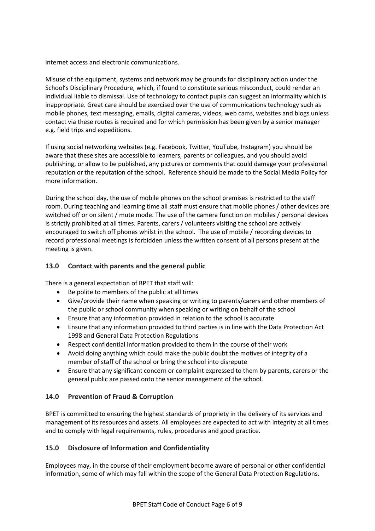internet access and electronic communications.

Misuse of the equipment, systems and network may be grounds for disciplinary action under the School's Disciplinary Procedure, which, if found to constitute serious misconduct, could render an individual liable to dismissal. Use of technology to contact pupils can suggest an informality which is inappropriate. Great care should be exercised over the use of communications technology such as mobile phones, text messaging, emails, digital cameras, videos, web cams, websites and blogs unless contact via these routes is required and for which permission has been given by a senior manager e.g. field trips and expeditions.

If using social networking websites (e.g. Facebook, Twitter, YouTube, Instagram) you should be aware that these sites are accessible to learners, parents or colleagues, and you should avoid publishing, or allow to be published, any pictures or comments that could damage your professional reputation or the reputation of the school. Reference should be made to the Social Media Policy for more information.

During the school day, the use of mobile phones on the school premises is restricted to the staff room. During teaching and learning time all staff must ensure that mobile phones / other devices are switched off or on silent / mute mode. The use of the camera function on mobiles / personal devices is strictly prohibited at all times. Parents, carers / volunteers visiting the school are actively encouraged to switch off phones whilst in the school. The use of mobile / recording devices to record professional meetings is forbidden unless the written consent of all persons present at the meeting is given.

## <span id="page-5-0"></span>**13.0 Contact with parents and the general public**

There is a general expectation of BPET that staff will:

- Be polite to members of the public at all times
- Give/provide their name when speaking or writing to parents/carers and other members of the public or school community when speaking or writing on behalf of the school
- Ensure that any information provided in relation to the school is accurate
- Ensure that any information provided to third parties is in line with the Data Protection Act 1998 and General Data Protection Regulations
- Respect confidential information provided to them in the course of their work
- Avoid doing anything which could make the public doubt the motives of integrity of a member of staff of the school or bring the school into disrepute
- Ensure that any significant concern or complaint expressed to them by parents, carers or the general public are passed onto the senior management of the school.

## <span id="page-5-1"></span>**14.0 Prevention of Fraud & Corruption**

BPET is committed to ensuring the highest standards of propriety in the delivery of its services and management of its resources and assets. All employees are expected to act with integrity at all times and to comply with legal requirements, rules, procedures and good practice.

## <span id="page-5-2"></span>**15.0 Disclosure of Information and Confidentiality**

Employees may, in the course of their employment become aware of personal or other confidential information, some of which may fall within the scope of the General Data Protection Regulations.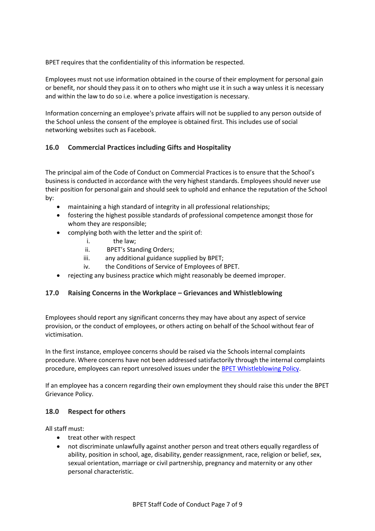BPET requires that the confidentiality of this information be respected.

Employees must not use information obtained in the course of their employment for personal gain or benefit, nor should they pass it on to others who might use it in such a way unless it is necessary and within the law to do so i.e. where a police investigation is necessary.

Information concerning an employee's private affairs will not be supplied to any person outside of the School unless the consent of the employee is obtained first. This includes use of social networking websites such as Facebook.

# <span id="page-6-0"></span>**16.0 Commercial Practices including Gifts and Hospitality**

The principal aim of the Code of Conduct on Commercial Practices is to ensure that the School's business is conducted in accordance with the very highest standards. Employees should never use their position for personal gain and should seek to uphold and enhance the reputation of the School by:

- maintaining a high standard of integrity in all professional relationships;
- fostering the highest possible standards of professional competence amongst those for whom they are responsible;
- complying both with the letter and the spirit of:
	- i. the law;
	- ii. BPET's Standing Orders;
	- iii. any additional guidance supplied by BPET;
	- iv. the Conditions of Service of Employees of BPET.
- rejecting any business practice which might reasonably be deemed improper.

## <span id="page-6-1"></span>**17.0 Raising Concerns in the Workplace – Grievances and Whistleblowing**

Employees should report any significant concerns they may have about any aspect of service provision, or the conduct of employees, or others acting on behalf of the School without fear of victimisation.

In the first instance, employee concerns should be raised via the Schools internal complaints procedure. Where concerns have not been addressed satisfactorily through the internal complaints procedure, employees can report unresolved issues under the BPET [Whistleblowing Policy.](http://www.bpet.co.uk/wp-content/uploads/2015/09/BPET-Whistleblowing-Policy.pdf)

If an employee has a concern regarding their own employment they should raise this under the BPET Grievance Policy.

#### <span id="page-6-2"></span>**18.0 Respect for others**

All staff must:

- treat other with respect
- not discriminate unlawfully against another person and treat others equally regardless of ability, position in school, age, disability, gender reassignment, race, religion or belief, sex, sexual orientation, marriage or civil partnership, pregnancy and maternity or any other personal characteristic.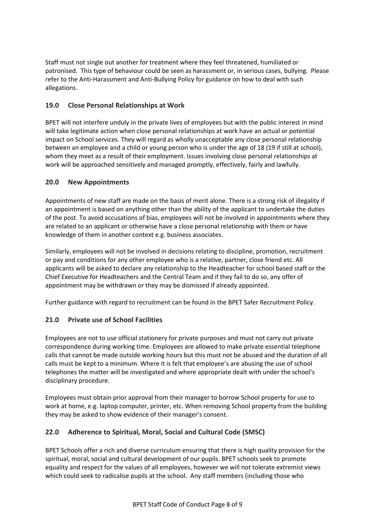Staff must not single out another for treatment where they feel threatened, humiliated or patronised. This type of behaviour could be seen as harassment or, in serious cases, bullying. Please refer to the Anti-Harassment and Anti-Bullying Policy for guidance on how to deal with such allegations.

# <span id="page-7-0"></span>**19.0 Close Personal Relationships at Work**

BPET will not interfere unduly in the private lives of employees but with the public interest in mind will take legitimate action when close personal relationships at work have an actual or potential impact on School services. They will regard as wholly unacceptable any close personal relationship between an employee and a child or young person who is under the age of 18 (19 if still at school), whom they meet as a result of their employment. Issues involving close personal relationships at work will be approached sensitively and managed promptly, effectively, fairly and lawfully.

# <span id="page-7-1"></span>**20.0 New Appointments**

Appointments of new staff are made on the basis of merit alone. There is a strong risk of illegality if an appointment is based on anything other than the ability of the applicant to undertake the duties of the post. To avoid accusations of bias, employees will not be involved in appointments where they are related to an applicant or otherwise have a close personal relationship with them or have knowledge of them in another context e.g. business associates.

Similarly, employees will not be involved in decisions relating to discipline, promotion, recruitment or pay and conditions for any other employee who is a relative, partner, close friend etc. All applicants will be asked to declare any relationship to the Headteacher for school based staff or the Chief Executive for Headteachers and the Central Team and if they fail to do so, any offer of appointment may be withdrawn or they may be dismissed if already appointed.

Further guidance with regard to recruitment can be found in the BPET Safer Recruitment Policy.

# <span id="page-7-2"></span>**21.0 Private use of School Facilities**

Employees are not to use official stationery for private purposes and must not carry out private correspondence during working time. Employees are allowed to make private essential telephone calls that cannot be made outside working hours but this must not be abused and the duration of all calls must be kept to a minimum. Where it is felt that employee's are abusing the use of school telephones the matter will be investigated and where appropriate dealt with under the school's disciplinary procedure.

Employees must obtain prior approval from their manager to borrow School property for use to work at home, e.g. laptop computer, printer, etc. When removing School property from the building they may be asked to show evidence of their manager's consent.

# <span id="page-7-3"></span>**22.0 Adherence to Spiritual, Moral, Social and Cultural Code (SMSC)**

BPET Schools offer a rich and diverse curriculum ensuring that there is high quality provision for the spiritual, moral, social and cultural development of our pupils. BPET schools seek to promote equality and respect for the values of all employees, however we will not tolerate extremist views which could seek to radicalise pupils at the school. Any staff members (including those who